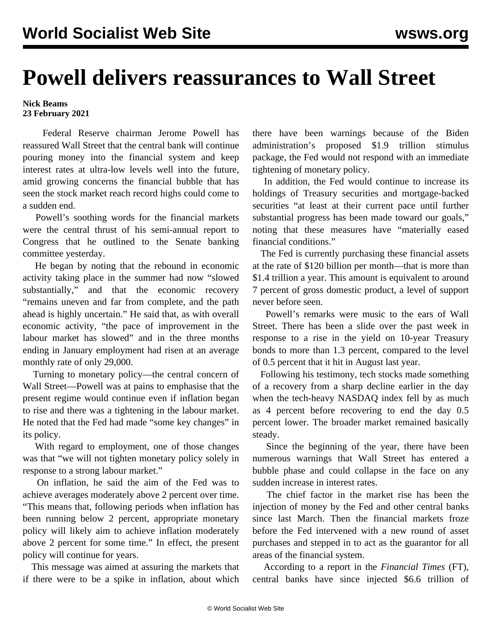## **Powell delivers reassurances to Wall Street**

## **Nick Beams 23 February 2021**

 Federal Reserve chairman Jerome Powell has reassured Wall Street that the central bank will continue pouring money into the financial system and keep interest rates at ultra-low levels well into the future, amid growing concerns the financial bubble that has seen the stock market reach record highs could come to a sudden end.

 Powell's soothing words for the financial markets were the central thrust of his semi-annual report to Congress that he outlined to the Senate banking committee yesterday.

 He began by noting that the rebound in economic activity taking place in the summer had now "slowed substantially," and that the economic recovery "remains uneven and far from complete, and the path ahead is highly uncertain." He said that, as with overall economic activity, "the pace of improvement in the labour market has slowed" and in the three months ending in January employment had risen at an average monthly rate of only 29,000.

 Turning to monetary policy—the central concern of Wall Street—Powell was at pains to emphasise that the present regime would continue even if inflation began to rise and there was a tightening in the labour market. He noted that the Fed had made "some key changes" in its policy.

 With regard to employment, one of those changes was that "we will not tighten monetary policy solely in response to a strong labour market."

 On inflation, he said the aim of the Fed was to achieve averages moderately above 2 percent over time. "This means that, following periods when inflation has been running below 2 percent, appropriate monetary policy will likely aim to achieve inflation moderately above 2 percent for some time." In effect, the present policy will continue for years.

 This message was aimed at assuring the markets that if there were to be a spike in inflation, about which

there have been warnings because of the Biden administration's proposed \$1.9 trillion stimulus package, the Fed would not respond with an immediate tightening of monetary policy.

 In addition, the Fed would continue to increase its holdings of Treasury securities and mortgage-backed securities "at least at their current pace until further substantial progress has been made toward our goals," noting that these measures have "materially eased financial conditions."

 The Fed is currently purchasing these financial assets at the rate of \$120 billion per month—that is more than \$1.4 trillion a year. This amount is equivalent to around 7 percent of gross domestic product, a level of support never before seen.

 Powell's remarks were music to the ears of Wall Street. There has been a slide over the past week in response to a rise in the yield on 10-year Treasury bonds to more than 1.3 percent, compared to the level of 0.5 percent that it hit in August last year.

 Following his testimony, tech stocks made something of a recovery from a sharp decline earlier in the day when the tech-heavy NASDAQ index fell by as much as 4 percent before recovering to end the day 0.5 percent lower. The broader market remained basically steady.

 Since the beginning of the year, there have been numerous warnings that Wall Street has entered a bubble phase and could collapse in the face on any sudden increase in interest rates.

 The chief factor in the market rise has been the injection of money by the Fed and other central banks since last March. Then the financial markets froze before the Fed intervened with a new round of asset purchases and stepped in to act as the guarantor for all areas of the financial system.

 According to a report in the *Financial Times* (FT), central banks have since injected \$6.6 trillion of